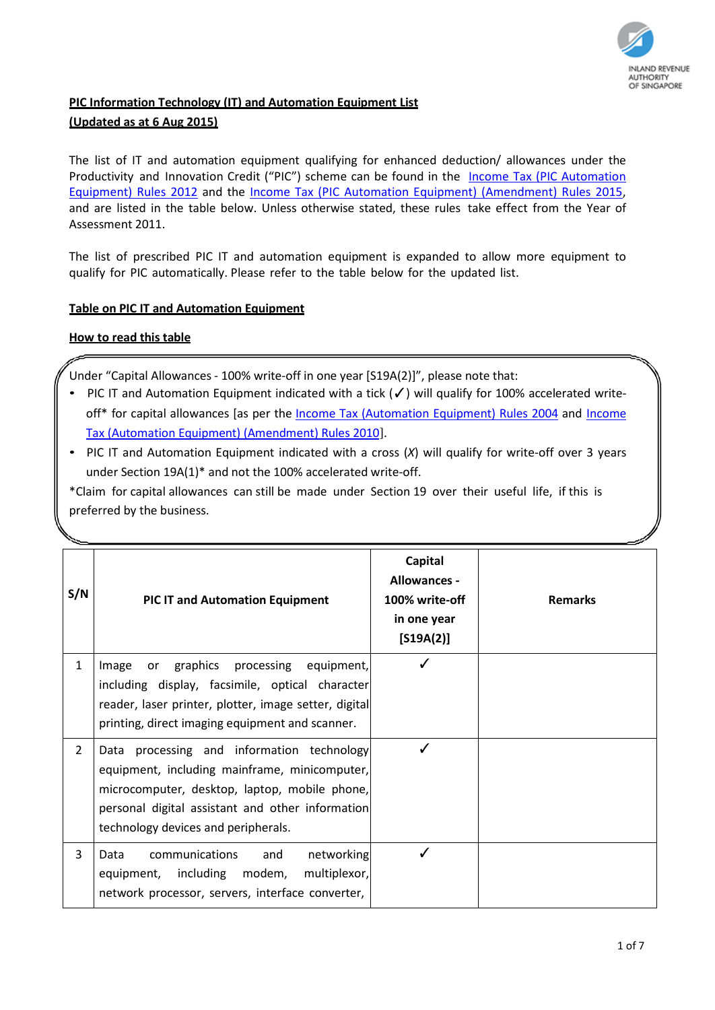

## **PIC Information Technology (IT) and Automation Equipment List (Updated as at 6 Aug 2015)**

The list of IT and automation equipment qualifying for enhanced deduction/ allowances under the Productivity and Innovation Credit ("PIC") scheme can be found in the Income Tax (PIC Automation [Equipment\) Rules 2012](http://statutes.agc.gov.sg/aol/search/display/view.w3p;orderBy=relevance;page=0;query=DocId%3A%223cdafe89-032c-4c82-b05d-68e2c005958b%22%20Status%3Apublished%20Depth%3A0%20%20TransactionTime%3A%2205%2F08%2F2013%22;rec=0) and the [Income Tax \(PIC Automation Equipment\) \(Amendment\) Rules 2015,](http://statutes.agc.gov.sg/aol/search/display/view.w3p;page=0;query=CompId%3A87653f1a-a7d6-4da4-bbe6-c0a7c8aa025e%20ValidTime%3A06%2F08%2F2015%20TransactionTime%3A06%2F08%2F2015;rec=0;resUrl=http%3A%2F%2Fstatutes.agc.gov.sg%2Faol%2Fsearch%2Fsummary%2Fresul) and are listed in the table below. Unless otherwise stated, these rules take effect from the Year of Assessment 2011.

The list of prescribed PIC IT and automation equipment is expanded to allow more equipment to qualify for PIC automatically. Please refer to the table below for the updated list.

## **Table on PIC IT and Automation Equipment**

## **How to read this table**

Under "Capital Allowances - 100% write-off in one year [S19A(2)]", please note that:

- PIC IT and Automation Equipment indicated with a tick (√) will qualify for 100% accelerated writeoff\* for capital allowances [as per the Income Tax [\(Automation](https://www.iras.gov.sg/irashome/uploadedFiles/IRASHome/Businesses/incometaxautomationequipmentrules2004.pdf) Equipment) Rules 2004 and [Income](https://www.iras.gov.sg/irashome/uploadedFiles/IRASHome/Quick_Links/Tax_Acts/S766-Income%20Tax%20Act%20-%20Income%20Tax%20(Automation%20Equipment)%20(Amendment)%20Rules%202010.pdf) Tax [\(Automation Equipment\)](https://www.iras.gov.sg/irashome/uploadedFiles/IRASHome/Quick_Links/Tax_Acts/S766-Income%20Tax%20Act%20-%20Income%20Tax%20(Automation%20Equipment)%20(Amendment)%20Rules%202010.pdf) (Amendment) Rules 2010].
- PIC IT and Automation Equipment indicated with a cross (*X*) will qualify for write-off over 3 years under Section 19A(1)\* and not the 100% accelerated write-off.

\*Claim for capital allowances can still be made under Section 19 over their useful life, if this is preferred by the business.

| S/N            | <b>PIC IT and Automation Equipment</b>                                                                                                                                                                                                  | Capital<br>Allowances -<br>100% write-off<br>in one year<br>$[519A(2)]$ | <b>Remarks</b> |
|----------------|-----------------------------------------------------------------------------------------------------------------------------------------------------------------------------------------------------------------------------------------|-------------------------------------------------------------------------|----------------|
| $\mathbf{1}$   | or graphics<br>processing equipment,<br>Image<br>including display, facsimile, optical character<br>reader, laser printer, plotter, image setter, digital<br>printing, direct imaging equipment and scanner.                            |                                                                         |                |
| $\overline{2}$ | Data processing and information technology<br>equipment, including mainframe, minicomputer,<br>microcomputer, desktop, laptop, mobile phone,<br>personal digital assistant and other information<br>technology devices and peripherals. | ✓                                                                       |                |
| 3              | communications<br>networking<br>and<br>Data<br>equipment, including modem,<br>multiplexor,<br>network processor, servers, interface converter,                                                                                          |                                                                         |                |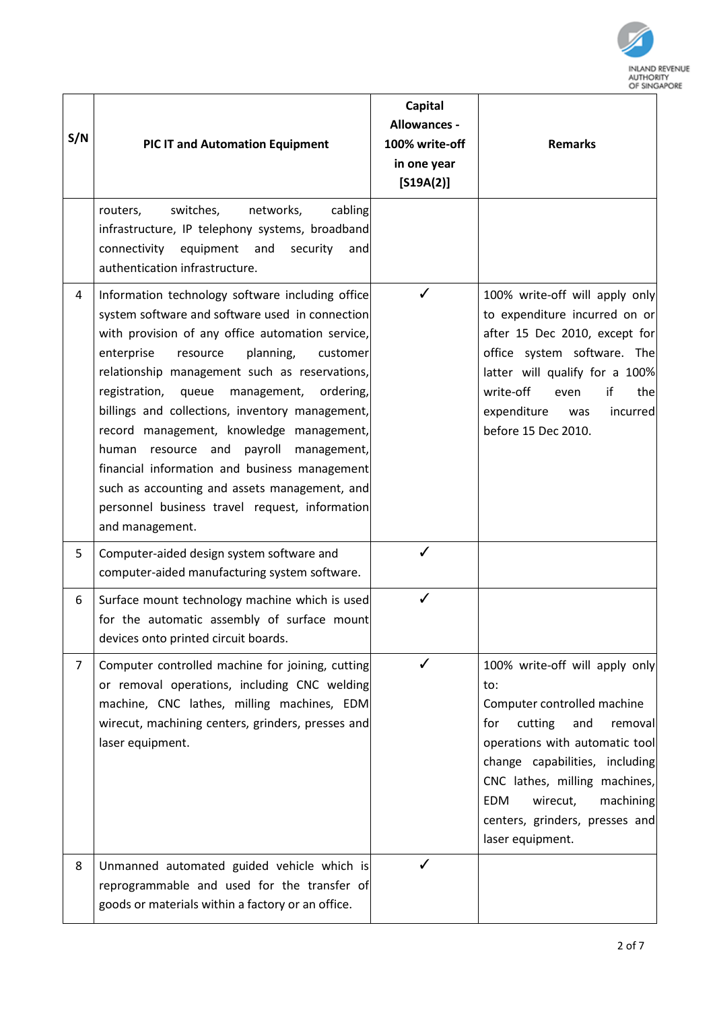

| S/N            | PIC IT and Automation Equipment                                                                                                                                                                                                                                                                                                                                                                                                                                                                                                                                                                                                            | <b>Capital</b><br>Allowances -<br>100% write-off<br>in one year<br>$[S19A(2)]$ | <b>Remarks</b>                                                                                                                                                                                                                                                                                             |
|----------------|--------------------------------------------------------------------------------------------------------------------------------------------------------------------------------------------------------------------------------------------------------------------------------------------------------------------------------------------------------------------------------------------------------------------------------------------------------------------------------------------------------------------------------------------------------------------------------------------------------------------------------------------|--------------------------------------------------------------------------------|------------------------------------------------------------------------------------------------------------------------------------------------------------------------------------------------------------------------------------------------------------------------------------------------------------|
|                | switches,<br>networks,<br>cabling<br>routers,<br>infrastructure, IP telephony systems, broadband<br>connectivity<br>equipment<br>and<br>security<br>and<br>authentication infrastructure.                                                                                                                                                                                                                                                                                                                                                                                                                                                  |                                                                                |                                                                                                                                                                                                                                                                                                            |
| 4              | Information technology software including office<br>system software and software used in connection<br>with provision of any office automation service,<br>enterprise<br>planning,<br>resource<br>customer<br>relationship management such as reservations,<br>registration,<br>queue<br>ordering,<br>management,<br>billings and collections, inventory management,<br>record management, knowledge management,<br>human<br>resource and<br>payroll<br>management,<br>financial information and business management<br>such as accounting and assets management, and<br>personnel business travel request, information<br>and management. | ✓                                                                              | 100% write-off will apply only<br>to expenditure incurred on or<br>after 15 Dec 2010, except for<br>office system software. The<br>latter will qualify for a 100%<br>write-off<br>if<br>the<br>even<br>expenditure<br>incurred<br>was<br>before 15 Dec 2010.                                               |
| 5              | Computer-aided design system software and<br>computer-aided manufacturing system software.                                                                                                                                                                                                                                                                                                                                                                                                                                                                                                                                                 | ✓                                                                              |                                                                                                                                                                                                                                                                                                            |
| 6              | Surface mount technology machine which is used<br>for the automatic assembly of surface mount<br>devices onto printed circuit boards.                                                                                                                                                                                                                                                                                                                                                                                                                                                                                                      |                                                                                |                                                                                                                                                                                                                                                                                                            |
| $\overline{7}$ | Computer controlled machine for joining, cutting<br>or removal operations, including CNC welding<br>machine, CNC lathes, milling machines, EDM<br>wirecut, machining centers, grinders, presses and<br>laser equipment.                                                                                                                                                                                                                                                                                                                                                                                                                    | ✓                                                                              | 100% write-off will apply only<br>to:<br>Computer controlled machine<br>cutting<br>and<br>for<br>removal<br>operations with automatic tool<br>change capabilities, including<br>CNC lathes, milling machines,<br><b>EDM</b><br>wirecut,<br>machining<br>centers, grinders, presses and<br>laser equipment. |
| 8              | Unmanned automated guided vehicle which is<br>reprogrammable and used for the transfer of<br>goods or materials within a factory or an office.                                                                                                                                                                                                                                                                                                                                                                                                                                                                                             | ℐ                                                                              |                                                                                                                                                                                                                                                                                                            |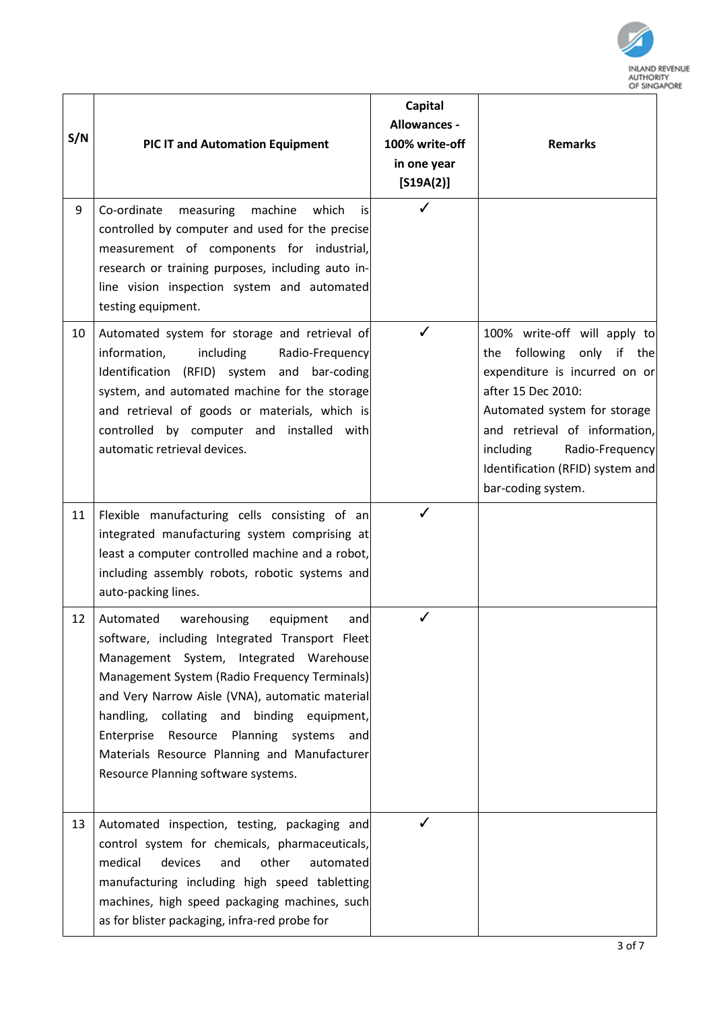

| S/N | <b>PIC IT and Automation Equipment</b>                                                                                                                                                                                                                                                                                                                                                                                            | Capital<br>Allowances -<br>100% write-off<br>in one year<br>$[S19A(2)]$ | <b>Remarks</b>                                                                                                                                                                                                                                                              |
|-----|-----------------------------------------------------------------------------------------------------------------------------------------------------------------------------------------------------------------------------------------------------------------------------------------------------------------------------------------------------------------------------------------------------------------------------------|-------------------------------------------------------------------------|-----------------------------------------------------------------------------------------------------------------------------------------------------------------------------------------------------------------------------------------------------------------------------|
| 9   | Co-ordinate<br>measuring<br>machine<br>which<br>is<br>controlled by computer and used for the precise<br>measurement of components for industrial,<br>research or training purposes, including auto in-<br>line vision inspection system and automated<br>testing equipment.                                                                                                                                                      | ✓                                                                       |                                                                                                                                                                                                                                                                             |
| 10  | Automated system for storage and retrieval of<br>information,<br>including<br>Radio-Frequency<br>Identification (RFID) system and bar-coding<br>system, and automated machine for the storage<br>and retrieval of goods or materials, which is<br>controlled by computer and installed with<br>automatic retrieval devices.                                                                                                       |                                                                         | 100% write-off will apply to<br>the following only if the<br>expenditure is incurred on or<br>after 15 Dec 2010:<br>Automated system for storage<br>and retrieval of information,<br>including<br>Radio-Frequency<br>Identification (RFID) system and<br>bar-coding system. |
| 11  | Flexible manufacturing cells consisting of an<br>integrated manufacturing system comprising at<br>least a computer controlled machine and a robot,<br>including assembly robots, robotic systems and<br>auto-packing lines.                                                                                                                                                                                                       |                                                                         |                                                                                                                                                                                                                                                                             |
| 12  | Automated<br>warehousing<br>equipment<br>and<br>software, including Integrated Transport Fleet<br>Management System, Integrated Warehouse<br>Management System (Radio Frequency Terminals)<br>and Very Narrow Aisle (VNA), automatic material<br>handling,<br>collating and binding equipment,<br>Enterprise Resource Planning systems and<br>Materials Resource Planning and Manufacturer<br>Resource Planning software systems. | ✓                                                                       |                                                                                                                                                                                                                                                                             |
| 13  | Automated inspection, testing, packaging and<br>control system for chemicals, pharmaceuticals,<br>medical<br>other<br>devices<br>and<br>automated<br>manufacturing including high speed tabletting<br>machines, high speed packaging machines, such<br>as for blister packaging, infra-red probe for                                                                                                                              |                                                                         |                                                                                                                                                                                                                                                                             |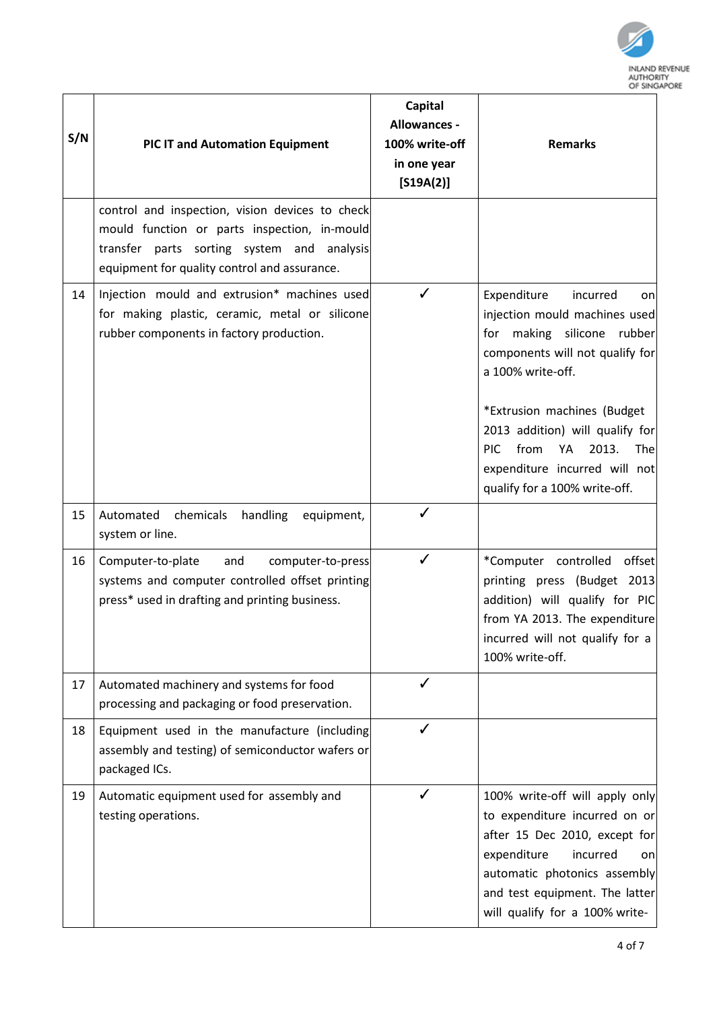

| S/N | <b>PIC IT and Automation Equipment</b>                                                                                                                                                        | <b>Capital</b><br>Allowances -<br>100% write-off<br>in one year<br>$[S19A(2)]$ | <b>Remarks</b>                                                                                                                                                                                                                                                                                                                             |
|-----|-----------------------------------------------------------------------------------------------------------------------------------------------------------------------------------------------|--------------------------------------------------------------------------------|--------------------------------------------------------------------------------------------------------------------------------------------------------------------------------------------------------------------------------------------------------------------------------------------------------------------------------------------|
|     | control and inspection, vision devices to check<br>mould function or parts inspection, in-mould<br>transfer parts sorting system and analysis<br>equipment for quality control and assurance. |                                                                                |                                                                                                                                                                                                                                                                                                                                            |
| 14  | Injection mould and extrusion* machines used<br>for making plastic, ceramic, metal or silicone<br>rubber components in factory production.                                                    | ✓                                                                              | Expenditure<br>incurred<br>on<br>injection mould machines used<br>making silicone<br>rubber<br>for<br>components will not qualify for<br>a 100% write-off.<br>*Extrusion machines (Budget<br>2013 addition) will qualify for<br><b>PIC</b><br>from<br>2013.<br>YA<br>The<br>expenditure incurred will not<br>qualify for a 100% write-off. |
| 15  | Automated chemicals<br>handling<br>equipment,<br>system or line.                                                                                                                              | ✓                                                                              |                                                                                                                                                                                                                                                                                                                                            |
| 16  | and<br>Computer-to-plate<br>computer-to-press<br>systems and computer controlled offset printing<br>press* used in drafting and printing business.                                            | ✓                                                                              | *Computer controlled<br>offset<br>printing press (Budget 2013<br>addition) will qualify for PIC<br>from YA 2013. The expenditure<br>incurred will not qualify for a<br>100% write-off.                                                                                                                                                     |
| 17  | Automated machinery and systems for food<br>processing and packaging or food preservation.                                                                                                    | ✓                                                                              |                                                                                                                                                                                                                                                                                                                                            |
| 18  | Equipment used in the manufacture (including<br>assembly and testing) of semiconductor wafers or<br>packaged ICs.                                                                             | ✓                                                                              |                                                                                                                                                                                                                                                                                                                                            |
| 19  | Automatic equipment used for assembly and<br>testing operations.                                                                                                                              | ✓                                                                              | 100% write-off will apply only<br>to expenditure incurred on or<br>after 15 Dec 2010, except for<br>expenditure<br>incurred<br>on<br>automatic photonics assembly<br>and test equipment. The latter<br>will qualify for a 100% write-                                                                                                      |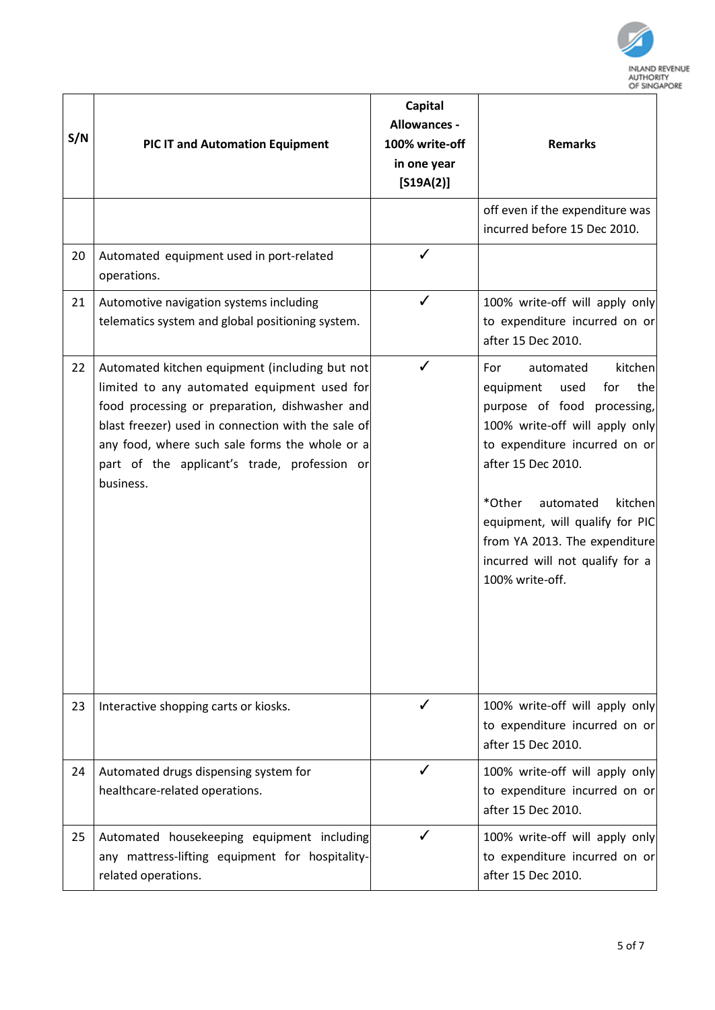

| S/N | <b>PIC IT and Automation Equipment</b>                                                                                                                                                                                                                                                                               | <b>Capital</b><br>Allowances -<br>100% write-off<br>in one year<br>$[S19A(2)]$ | <b>Remarks</b>                                                                                                                                                                                                                                                                                                                                        |
|-----|----------------------------------------------------------------------------------------------------------------------------------------------------------------------------------------------------------------------------------------------------------------------------------------------------------------------|--------------------------------------------------------------------------------|-------------------------------------------------------------------------------------------------------------------------------------------------------------------------------------------------------------------------------------------------------------------------------------------------------------------------------------------------------|
|     |                                                                                                                                                                                                                                                                                                                      |                                                                                | off even if the expenditure was<br>incurred before 15 Dec 2010.                                                                                                                                                                                                                                                                                       |
| 20  | Automated equipment used in port-related<br>operations.                                                                                                                                                                                                                                                              |                                                                                |                                                                                                                                                                                                                                                                                                                                                       |
| 21  | Automotive navigation systems including<br>telematics system and global positioning system.                                                                                                                                                                                                                          | ✓                                                                              | 100% write-off will apply only<br>to expenditure incurred on or<br>after 15 Dec 2010.                                                                                                                                                                                                                                                                 |
| 22  | Automated kitchen equipment (including but not<br>limited to any automated equipment used for<br>food processing or preparation, dishwasher and<br>blast freezer) used in connection with the sale of<br>any food, where such sale forms the whole or a<br>part of the applicant's trade, profession or<br>business. | ✓                                                                              | kitchen<br>automated<br>For<br>equipment<br>used<br>for<br>the<br>purpose of food<br>processing,<br>100% write-off will apply only<br>to expenditure incurred on or<br>after 15 Dec 2010.<br>*Other<br>automated<br>kitchen<br>equipment, will qualify for PIC<br>from YA 2013. The expenditure<br>incurred will not qualify for a<br>100% write-off. |
| 23  | Interactive shopping carts or kiosks.                                                                                                                                                                                                                                                                                | ✓                                                                              | 100% write-off will apply only<br>to expenditure incurred on or<br>after 15 Dec 2010.                                                                                                                                                                                                                                                                 |
| 24  | Automated drugs dispensing system for<br>healthcare-related operations.                                                                                                                                                                                                                                              | ✓                                                                              | 100% write-off will apply only<br>to expenditure incurred on or<br>after 15 Dec 2010.                                                                                                                                                                                                                                                                 |
| 25  | Automated housekeeping equipment including<br>any mattress-lifting equipment for hospitality-<br>related operations.                                                                                                                                                                                                 |                                                                                | 100% write-off will apply only<br>to expenditure incurred on or<br>after 15 Dec 2010.                                                                                                                                                                                                                                                                 |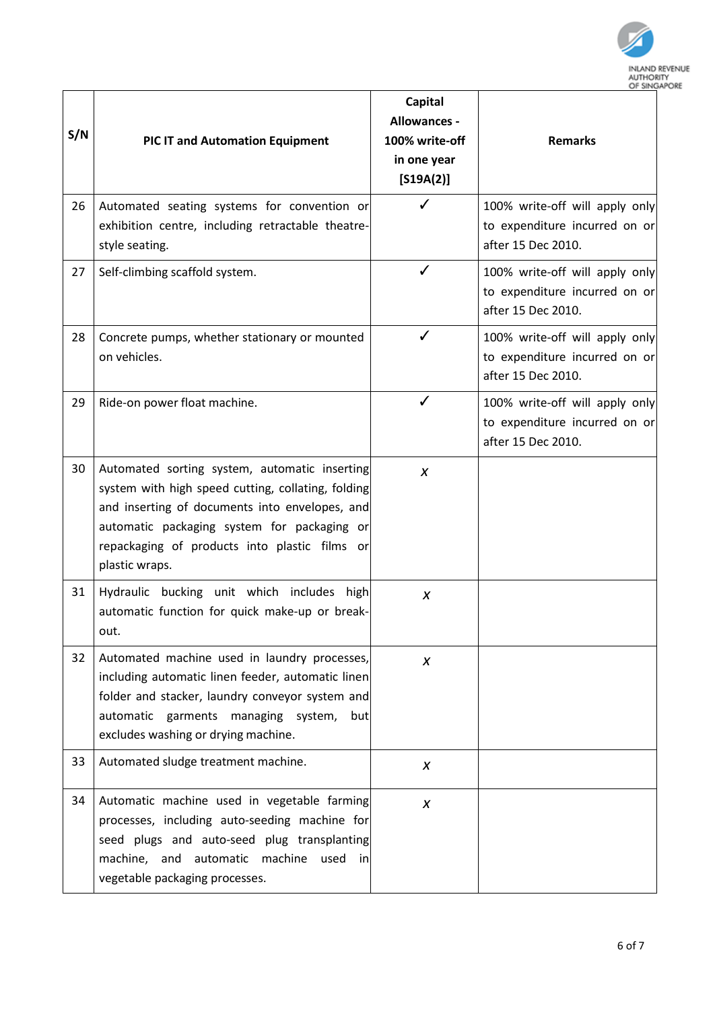

| S/N | <b>PIC IT and Automation Equipment</b>                                                                                                                                                                                                                                  | <b>Capital</b><br>Allowances -<br>100% write-off<br>in one year<br>$[S19A(2)]$<br>✓ | OF SING<br><b>Remarks</b>                                                             |
|-----|-------------------------------------------------------------------------------------------------------------------------------------------------------------------------------------------------------------------------------------------------------------------------|-------------------------------------------------------------------------------------|---------------------------------------------------------------------------------------|
| 26  | Automated seating systems for convention or<br>exhibition centre, including retractable theatre-<br>style seating.                                                                                                                                                      |                                                                                     | 100% write-off will apply only<br>to expenditure incurred on or<br>after 15 Dec 2010. |
| 27  | Self-climbing scaffold system.                                                                                                                                                                                                                                          | ✓                                                                                   | 100% write-off will apply only<br>to expenditure incurred on or<br>after 15 Dec 2010. |
| 28  | Concrete pumps, whether stationary or mounted<br>on vehicles.                                                                                                                                                                                                           | ✓                                                                                   | 100% write-off will apply only<br>to expenditure incurred on or<br>after 15 Dec 2010. |
| 29  | Ride-on power float machine.                                                                                                                                                                                                                                            | ✓                                                                                   | 100% write-off will apply only<br>to expenditure incurred on or<br>after 15 Dec 2010. |
| 30  | Automated sorting system, automatic inserting<br>system with high speed cutting, collating, folding<br>and inserting of documents into envelopes, and<br>automatic packaging system for packaging or<br>repackaging of products into plastic films or<br>plastic wraps. | X                                                                                   |                                                                                       |
| 31  | Hydraulic bucking unit which includes high<br>automatic function for quick make-up or break-<br>out.                                                                                                                                                                    | X                                                                                   |                                                                                       |
| 32  | Automated machine used in laundry processes,<br>including automatic linen feeder, automatic linen<br>folder and stacker, laundry conveyor system and<br>automatic garments managing system,<br>but<br>excludes washing or drying machine.                               | X                                                                                   |                                                                                       |
| 33  | Automated sludge treatment machine.                                                                                                                                                                                                                                     | X                                                                                   |                                                                                       |
| 34  | Automatic machine used in vegetable farming<br>processes, including auto-seeding machine for<br>seed plugs and auto-seed plug transplanting<br>machine, and automatic machine<br>used<br>inl<br>vegetable packaging processes.                                          | X                                                                                   |                                                                                       |